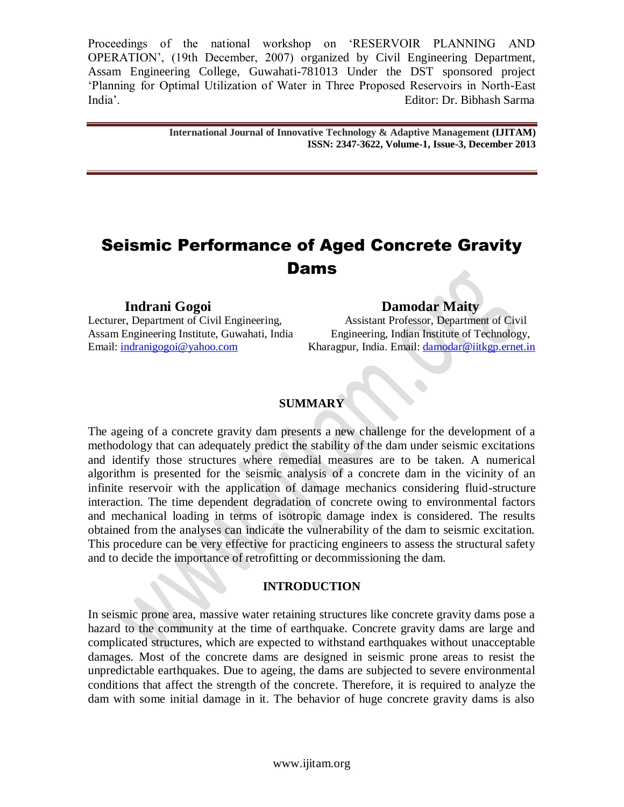> **International Journal of Innovative Technology & Adaptive Management (IJITAM) ISSN: 2347-3622, Volume-1, Issue-3, December 2013**

# Seismic Performance of Aged Concrete Gravity Dams

Lecturer, Department of Civil Engineering,

**Indrani Gogoi**<br> **Indrani Gogoi**<br> **I.** Department of Civil Engineering. Assistant Professor, Department of Civil Assam Engineering Institute, Guwahati, India Engineering, Indian Institute of Technology, Email: [indranigogoi@yahoo.com](mailto:indranigogoi@yahoo.com) Kharagpur, India. Email: [damodar@iitkgp.ernet.in](mailto:damodar@iitkgp.ernet.in)

### **SUMMARY**

The ageing of a concrete gravity dam presents a new challenge for the development of a methodology that can adequately predict the stability of the dam under seismic excitations and identify those structures where remedial measures are to be taken. A numerical algorithm is presented for the seismic analysis of a concrete dam in the vicinity of an infinite reservoir with the application of damage mechanics considering fluid-structure interaction. The time dependent degradation of concrete owing to environmental factors and mechanical loading in terms of isotropic damage index is considered. The results obtained from the analyses can indicate the vulnerability of the dam to seismic excitation. This procedure can be very effective for practicing engineers to assess the structural safety and to decide the importance of retrofitting or decommissioning the dam.

#### **INTRODUCTION**

In seismic prone area, massive water retaining structures like concrete gravity dams pose a hazard to the community at the time of earthquake. Concrete gravity dams are large and complicated structures, which are expected to withstand earthquakes without unacceptable damages. Most of the concrete dams are designed in seismic prone areas to resist the unpredictable earthquakes. Due to ageing, the dams are subjected to severe environmental conditions that affect the strength of the concrete. Therefore, it is required to analyze the dam with some initial damage in it. The behavior of huge concrete gravity dams is also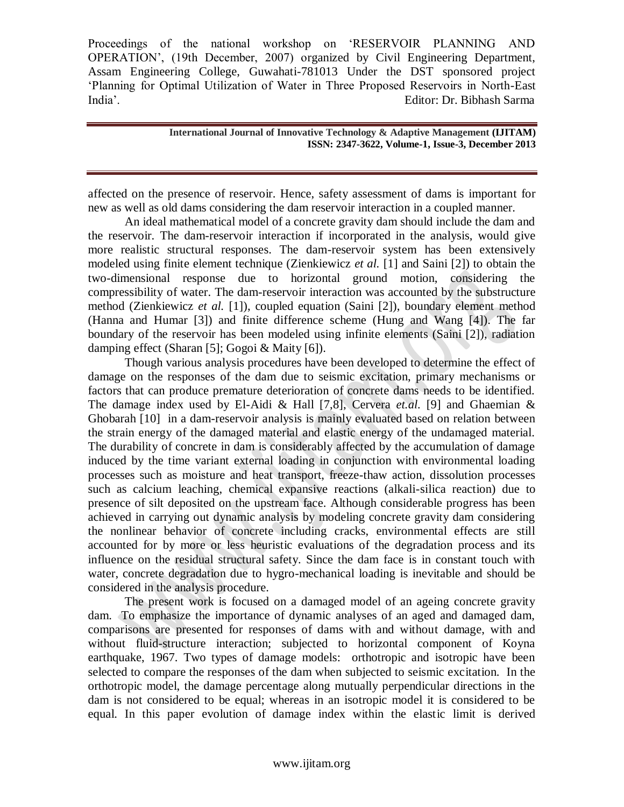> **International Journal of Innovative Technology & Adaptive Management (IJITAM) ISSN: 2347-3622, Volume-1, Issue-3, December 2013**

affected on the presence of reservoir. Hence, safety assessment of dams is important for new as well as old dams considering the dam reservoir interaction in a coupled manner.

An ideal mathematical model of a concrete gravity dam should include the dam and the reservoir. The dam-reservoir interaction if incorporated in the analysis, would give more realistic structural responses. The dam-reservoir system has been extensively modeled using finite element technique (Zienkiewicz *et al.* [1] and Saini [2]) to obtain the two-dimensional response due to horizontal ground motion, considering the compressibility of water. The dam-reservoir interaction was accounted by the substructure method (Zienkiewicz *et al.* [1]), coupled equation (Saini [2]), boundary element method (Hanna and Humar [3]) and finite difference scheme (Hung and Wang [4]). The far boundary of the reservoir has been modeled using infinite elements (Saini [2]), radiation damping effect (Sharan [5]; Gogoi & Maity [6]).

Though various analysis procedures have been developed to determine the effect of damage on the responses of the dam due to seismic excitation, primary mechanisms or factors that can produce premature deterioration of concrete dams needs to be identified. The damage index used by El-Aidi & Hall [7,8], Cervera *et.al.* [9] and Ghaemian & Ghobarah [10] in a dam-reservoir analysis is mainly evaluated based on relation between the strain energy of the damaged material and elastic energy of the undamaged material. The durability of concrete in dam is considerably affected by the accumulation of damage induced by the time variant external loading in conjunction with environmental loading processes such as moisture and heat transport, freeze-thaw action, dissolution processes such as calcium leaching, chemical expansive reactions (alkali-silica reaction) due to presence of silt deposited on the upstream face. Although considerable progress has been achieved in carrying out dynamic analysis by modeling concrete gravity dam considering the nonlinear behavior of concrete including cracks, environmental effects are still accounted for by more or less heuristic evaluations of the degradation process and its influence on the residual structural safety. Since the dam face is in constant touch with water, concrete degradation due to hygro-mechanical loading is inevitable and should be considered in the analysis procedure.

The present work is focused on a damaged model of an ageing concrete gravity dam. To emphasize the importance of dynamic analyses of an aged and damaged dam, comparisons are presented for responses of dams with and without damage, with and without fluid-structure interaction; subjected to horizontal component of Koyna earthquake, 1967. Two types of damage models: orthotropic and isotropic have been selected to compare the responses of the dam when subjected to seismic excitation. In the orthotropic model, the damage percentage along mutually perpendicular directions in the dam is not considered to be equal; whereas in an isotropic model it is considered to be equal. In this paper evolution of damage index within the elastic limit is derived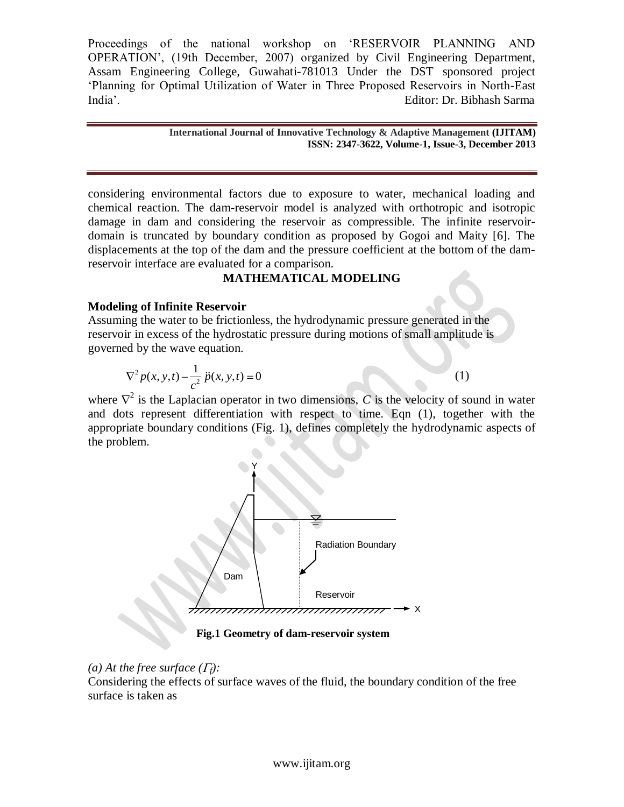> **International Journal of Innovative Technology & Adaptive Management (IJITAM) ISSN: 2347-3622, Volume-1, Issue-3, December 2013**

considering environmental factors due to exposure to water, mechanical loading and chemical reaction. The dam-reservoir model is analyzed with orthotropic and isotropic damage in dam and considering the reservoir as compressible. The infinite reservoirdomain is truncated by boundary condition as proposed by Gogoi and Maity [6]. The displacements at the top of the dam and the pressure coefficient at the bottom of the damreservoir interface are evaluated for a comparison.

#### **MATHEMATICAL MODELING**

#### **Modeling of Infinite Reservoir**

Assuming the water to be frictionless, the hydrodynamic pressure generated in the reservoir in excess of the hydrostatic pressure during motions of small amplitude is governed by the wave equation.

$$
\nabla^2 p(x, y, t) - \frac{1}{c^2} \ddot{p}(x, y, t) = 0
$$
 (1)

where  $\nabla^2$  is the Laplacian operator in two dimensions, *C* is the velocity of sound in water and dots represent differentiation with respect to time. Eqn (1), together with the appropriate boundary conditions (Fig. 1), defines completely the hydrodynamic aspects of the problem.



**Fig.1 Geometry of dam-reservoir system**

#### *(a)* At the free surface  $(\Gamma_f)$ :

Considering the effects of surface waves of the fluid, the boundary condition of the free surface is taken as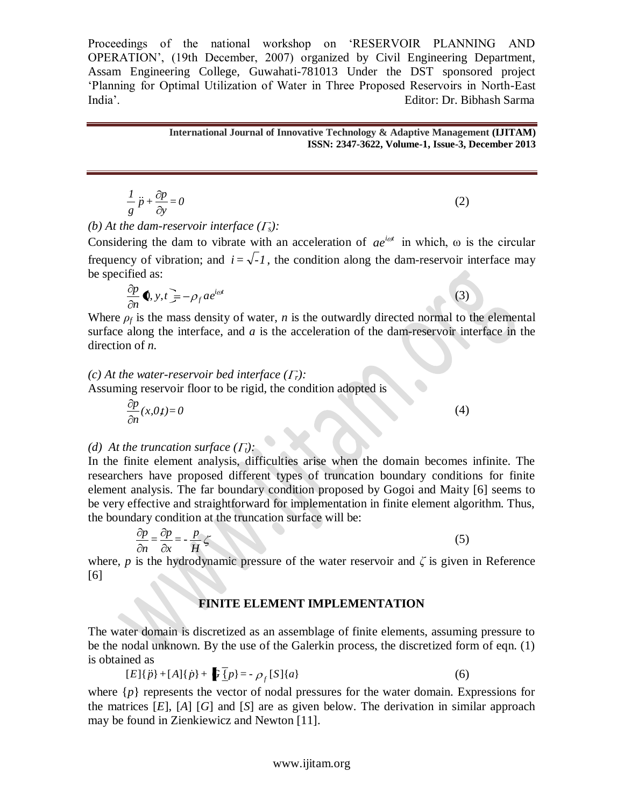> **International Journal of Innovative Technology & Adaptive Management (IJITAM) ISSN: 2347-3622, Volume-1, Issue-3, December 2013**

$$
\frac{1}{g}\ddot{p} + \frac{\partial p}{\partial y} = 0\tag{2}
$$

*(b)* At the dam-reservoir interface  $(\Gamma_s)$ :

Considering the dam to vibrate with an acceleration of  $ae^{i\omega t}$  in which,  $\omega$  is the circular frequency of vibration; and  $i = \sqrt{-1}$ , the condition along the dam-reservoir interface may be specified as:

$$
\frac{\partial p}{\partial n} \blacklozenge, y, t = -\rho_f a e^{i\omega t}
$$

Where  $\rho_f$  is the mass density of water, *n* is the outwardly directed normal to the elemental surface along the interface, and *a* is the acceleration of the dam-reservoir interface in the direction of *n.*

## *(c)* At the water-reservoir bed interface  $(F_r)$ :

Assuming reservoir floor to be rigid, the condition adopted is

$$
\frac{\partial p}{\partial n}(x,0,t) = 0
$$

#### *(d)* At the truncation surface  $(\Gamma_t)$ :

=0<br>
sservoir interface ( $\Gamma_s$ ):<br>
dam to vibrate with an acceleration<br>
ration; and  $i = \sqrt{-1}$ , the condition a<br>  $\equiv -\rho_f a e^{i\omega t}$ <br>
mass density of water, *n* is the outwa<br>
e interface, and *a* is the acceleration<br>
reservoi In the finite element analysis, difficulties arise when the domain becomes infinite. The researchers have proposed different types of truncation boundary conditions for finite element analysis. The far boundary condition proposed by Gogoi and Maity [6] seems to be very effective and straightforward for implementation in finite element algorithm. Thus, the boundary condition at the truncation surface will be:

$$
\frac{\partial p}{\partial n} = \frac{\partial p}{\partial x} = -\frac{p}{H} \zeta \tag{5}
$$

where, *p* is the hydrodynamic pressure of the water reservoir and  $\zeta$  is given in Reference [6]

#### **FINITE ELEMENT IMPLEMENTATION**

The water domain is discretized as an assemblage of finite elements, assuming pressure to be the nodal unknown. By the use of the Galerkin process, the discretized form of eqn. (1) is obtained as

$$
[E]{p} + [A]{p} + [B]{p} + \mathbf{F}{p} = -\rho_f[S]{a}
$$
\n(6)

where  $\{p\}$  represents the vector of nodal pressures for the water domain. Expressions for the matrices [*E*], [*A*] [*G*] and [*S*] are as given below. The derivation in similar approach may be found in Zienkiewicz and Newton [11].

```
(3)
```
(4)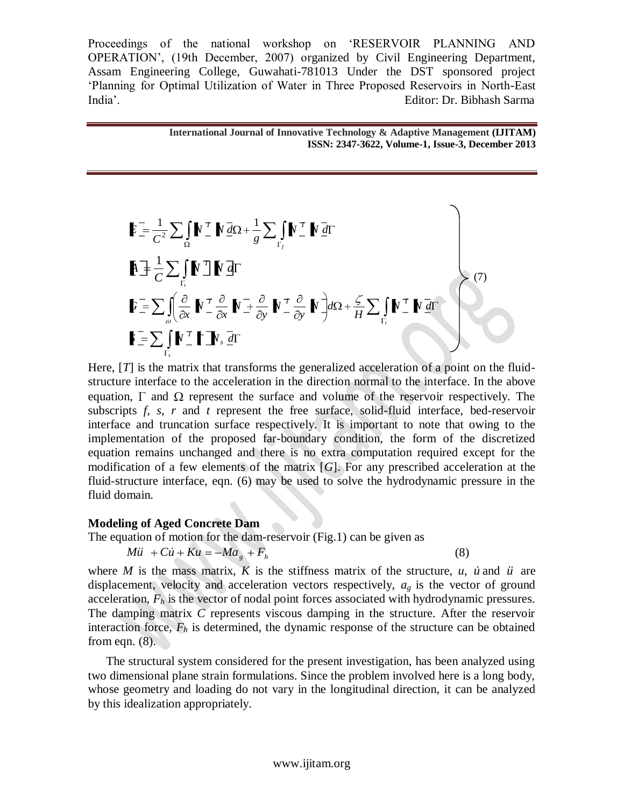> **International Journal of Innovative Technology & Adaptive Management (IJITAM) ISSN: 2347-3622, Volume-1, Issue-3, December 2013**

$$
\mathbf{F} = \frac{1}{C^2} \sum_{\Omega} \int \mathbf{N}^T \mathbf{N} \, d\Omega + \frac{1}{g} \sum_{\Gamma_f} \int \mathbf{N}^T \mathbf{N} \, d\Gamma
$$
\n
$$
\mathbf{A} = \frac{1}{C} \sum_{\Gamma_f} \int \mathbf{N}^T \mathbf{N} \, d\Gamma
$$
\n
$$
\mathbf{F} = \sum_{\omega} \int_{\omega} \frac{\partial}{\partial x} \mathbf{N}^T \frac{\partial}{\partial x} \mathbf{N}^T \frac{\partial}{\partial y} \mathbf{N}^T \frac{\partial}{\partial y} \mathbf{N}^T \frac{\partial}{\partial y} \mathbf{N}^T \frac{\partial}{\partial z} + \frac{\zeta}{H} \sum_{\Gamma_f} \mathbf{N}^T \mathbf{N} \, d\Gamma
$$
\n
$$
\mathbf{F} = \sum_{\Gamma_s} \int \mathbf{N}^T \mathbf{N} \mathbf{N} \cdot d\Gamma
$$
\n
$$
\mathbf{F} = \sum_{\Gamma_s} \int \mathbf{N}^T \mathbf{N} \cdot d\Gamma
$$

Here, [*T*] is the matrix that transforms the generalized acceleration of a point on the fluidstructure interface to the acceleration in the direction normal to the interface. In the above equation,  $\Gamma$  and  $\Omega$  represent the surface and volume of the reservoir respectively. The subscripts *f*, *s*, *r* and *t* represent the free surface, solid-fluid interface, bed-reservoir interface and truncation surface respectively. It is important to note that owing to the implementation of the proposed far-boundary condition, the form of the discretized equation remains unchanged and there is no extra computation required except for the modification of a few elements of the matrix [*G*]. For any prescribed acceleration at the fluid-structure interface, eqn. (6) may be used to solve the hydrodynamic pressure in the fluid domain.

#### **Modeling of Aged Concrete Dam**

The equation of motion for the dam-reservoir (Fig.1) can be given as

$$
M\ddot{u} + C\dot{u} + Ku = -Ma_g + F_h
$$

(8)

where *M* is the mass matrix, *K* is the stiffness matrix of the structure, *u*, *u* and *u* are displacement, velocity and acceleration vectors respectively, *ag* is the vector of ground acceleration, *F<sup>h</sup>* is the vector of nodal point forces associated with hydrodynamic pressures. The damping matrix *C* represents viscous damping in the structure. After the reservoir interaction force,  $F_h$  is determined, the dynamic response of the structure can be obtained from eqn. (8).

The structural system considered for the present investigation, has been analyzed using two dimensional plane strain formulations. Since the problem involved here is a long body, whose geometry and loading do not vary in the longitudinal direction, it can be analyzed by this idealization appropriately.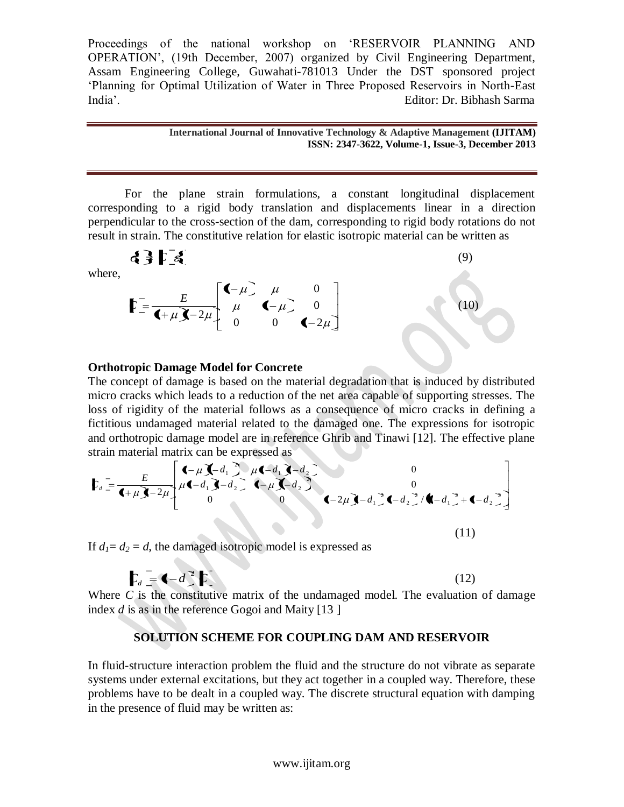#### **International Journal of Innovative Technology & Adaptive Management (IJITAM) ISSN: 2347-3622, Volume-1, Issue-3, December 2013**

For the plane strain formulations, a constant longitudinal displacement corresponding to a rigid body translation and displacements linear in a direction perpendicular to the cross-section of the dam, corresponding to rigid body rotations do not result in strain. The constitutive relation for elastic isotropic material can be written as

where,  
\n
$$
\mathbf{E} = \frac{E}{\mathbf{I} + \mu \mathbf{J} - 2\mu} \begin{bmatrix} \mathbf{I} - \mu & \mu & 0 \\ \mu & \mathbf{I} - \mu & 0 \\ 0 & 0 & \mathbf{I} - 2\mu \end{bmatrix}
$$
\n(9)

#### **Orthotropic Damage Model for Concrete**

The concept of damage is based on the material degradation that is induced by distributed micro cracks which leads to a reduction of the net area capable of supporting stresses. The loss of rigidity of the material follows as a consequence of micro cracks in defining a fictitious undamaged material related to the damaged one. The expressions for isotropic and orthotropic damage model are in reference Ghrib and Tinawi [12]. The effective plane strain material matrix can be expressed as

$$
\mathbf{F}_{d} = \frac{E}{\mathbf{d} + \mu \mathbf{J} - 2\mu} \begin{bmatrix} \mathbf{d} - \mu \mathbf{J} - d_{1} & \mu \mathbf{d} - d_{1} & \mathbf{J} - d_{2} \\ \mu \mathbf{d} - d_{1} & \mathbf{J} - d_{2} & \mathbf{d} - \mu \mathbf{J} - d_{2} \end{bmatrix}^{2}
$$
\n
$$
\mathbf{d} - 2\mu \mathbf{J} - d_{1}^{2} \mathbf{d} - d_{2}^{2} / \mathbf{d} - d_{1}^{2} + \mathbf{d} - d_{2}^{2}
$$
\n
$$
\mathbf{d} - 2\mu \mathbf{J} - d_{1}^{2} \mathbf{d} - d_{2}^{2} / \mathbf{d} - d_{1}^{2} + \mathbf{d} - d_{2}^{2}
$$
\n(11)

If  $d_1 = d_2 = d$ , the damaged isotropic model is expressed as

 $\leftarrow$ 

$$
\mathbf{L}_d = \mathbf{I} - d^2 \mathbf{L} \tag{12}
$$

Where *C* is the constitutive matrix of the undamaged model. The evaluation of damage index *d* is as in the reference Gogoi and Maity [13 ]

#### **SOLUTION SCHEME FOR COUPLING DAM AND RESERVOIR**

In fluid-structure interaction problem the fluid and the structure do not vibrate as separate systems under external excitations, but they act together in a coupled way. Therefore, these problems have to be dealt in a coupled way. The discrete structural equation with damping in the presence of fluid may be written as: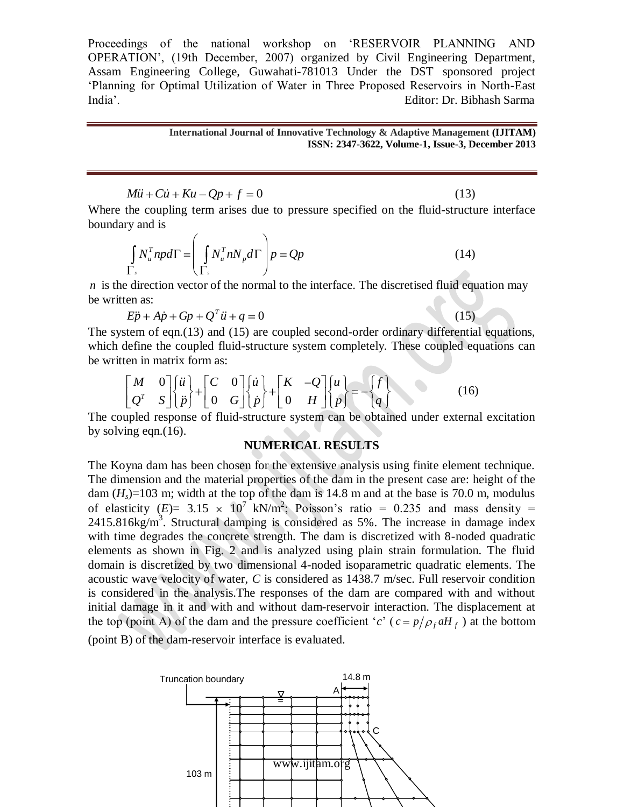#### **International Journal of Innovative Technology & Adaptive Management (IJITAM) ISSN: 2347-3622, Volume-1, Issue-3, December 2013**

 $(15)$ 

 $\ddot{u} + C\dot{u} + Ku - Qp + f = 0$ (13)

Where the coupling term arises due to pressure specified on the fluid-structure interface boundary and is

$$
\int_{\Gamma_s} N_u^T np d\Gamma = \left( \int_{\Gamma_s} N_u^T n N_p d\Gamma \right) p = Qp \tag{14}
$$

*n* is the direction vector of the normal to the interface. The discretised fluid equation may be written as:

$$
E\ddot{p} + A\dot{p} + Gp + Q^T\ddot{u} + q = 0
$$

The system of eqn.(13) and (15) are coupled second-order ordinary differential equations, which define the coupled fluid-structure system completely. These coupled equations can be written in matrix form as:<br>  $\begin{bmatrix} M & 0 \end{bmatrix} \begin{bmatrix} \ddot{u} \\ \ddot{v} \end{bmatrix} + \begin{bmatrix} C & 0 \end{bmatrix}$ 

en in matrix form as:  
\n
$$
\begin{bmatrix} M & 0 \\ Q^T & S \end{bmatrix} \begin{bmatrix} \ddot{u} \\ \ddot{p} \end{bmatrix} + \begin{bmatrix} C & 0 \\ 0 & G \end{bmatrix} \begin{bmatrix} \dot{u} \\ \dot{p} \end{bmatrix} + \begin{bmatrix} K & -Q \\ 0 & H \end{bmatrix} \begin{bmatrix} u \\ p \end{bmatrix} = - \begin{bmatrix} f \\ q \end{bmatrix}
$$
\n(16)

The coupled response of fluid-structure system can be obtained under external excitation by solving eqn.(16).

#### **NUMERICAL RESULTS**

Mii + Cii + Kiu - Qp + f = 0<br>the coupling term arises due to pressure spee<br>y and is<br>y and is<br> $\int N_n^T n p d\Gamma = \left( \int N_n^T n N_p d\Gamma \right) p = Qp$ <br>T,<br> $\Gamma$ ,<br> $\Gamma$ <br> $\Gamma$ ,<br> $\Gamma$ <br> $\Gamma$ ,<br> $\Gamma$ <br> $\Gamma$ ,<br> $\Gamma$ <br> $\Gamma$ ,<br> $\Gamma$ <br> $\Gamma$ ,<br> $\Gamma$ <br> $\Gamma$ ,<br> $\Gamma$ <br> $\Gamma$ ,<br> $\Gamma$  The Koyna dam has been chosen for the extensive analysis using finite element technique. The dimension and the material properties of the dam in the present case are: height of the dam  $(H_s)$ =103 m; width at the top of the dam is 14.8 m and at the base is 70.0 m, modulus of elasticity  $(E) = 3.15 \times 10^7$  kN/m<sup>2</sup>; Poisson's ratio = 0.235 and mass density =  $2415.816$ kg/m<sup>3</sup>. Structural damping is considered as 5%. The increase in damage index with time degrades the concrete strength. The dam is discretized with 8-noded quadratic elements as shown in Fig. 2 and is analyzed using plain strain formulation. The fluid domain is discretized by two dimensional 4-noded isoparametric quadratic elements. The acoustic wave velocity of water, *C* is considered as 1438.7 m/sec. Full reservoir condition is considered in the analysis.The responses of the dam are compared with and without initial damage in it and with and without dam-reservoir interaction. The displacement at the top (point A) of the dam and the pressure coefficient '*c*' ( $c = p/\rho_f aH_f$ ) at the bottom (point B) of the dam-reservoir interface is evaluated.

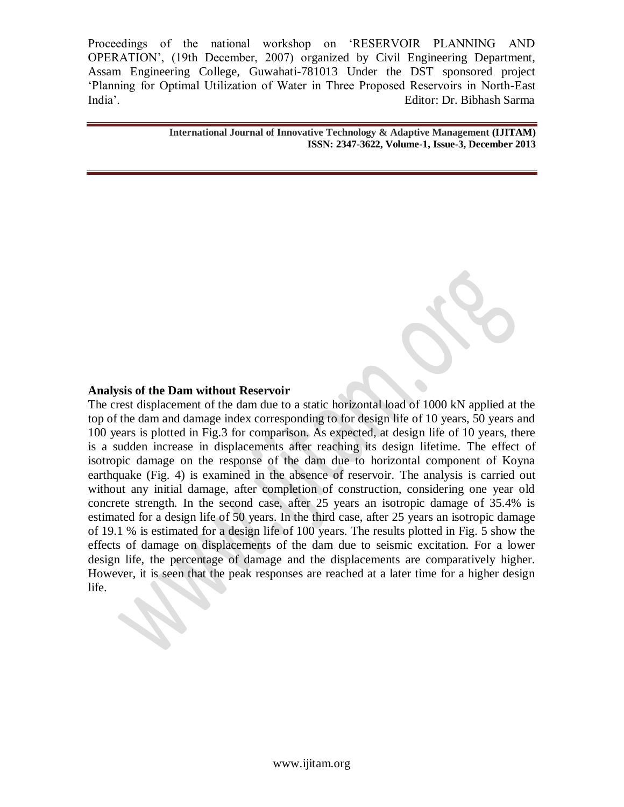> **International Journal of Innovative Technology & Adaptive Management (IJITAM) ISSN: 2347-3622, Volume-1, Issue-3, December 2013**

#### **Analysis of the Dam without Reservoir**

The crest displacement of the dam due to a static horizontal load of 1000 kN applied at the top of the dam and damage index corresponding to for design life of 10 years, 50 years and 100 years is plotted in Fig.3 for comparison. As expected, at design life of 10 years, there is a sudden increase in displacements after reaching its design lifetime. The effect of isotropic damage on the response of the dam due to horizontal component of Koyna earthquake (Fig. 4) is examined in the absence of reservoir. The analysis is carried out without any initial damage, after completion of construction, considering one year old concrete strength. In the second case, after 25 years an isotropic damage of 35.4% is estimated for a design life of 50 years. In the third case, after 25 years an isotropic damage of 19.1 % is estimated for a design life of 100 years. The results plotted in Fig. 5 show the effects of damage on displacements of the dam due to seismic excitation. For a lower design life, the percentage of damage and the displacements are comparatively higher. However, it is seen that the peak responses are reached at a later time for a higher design life.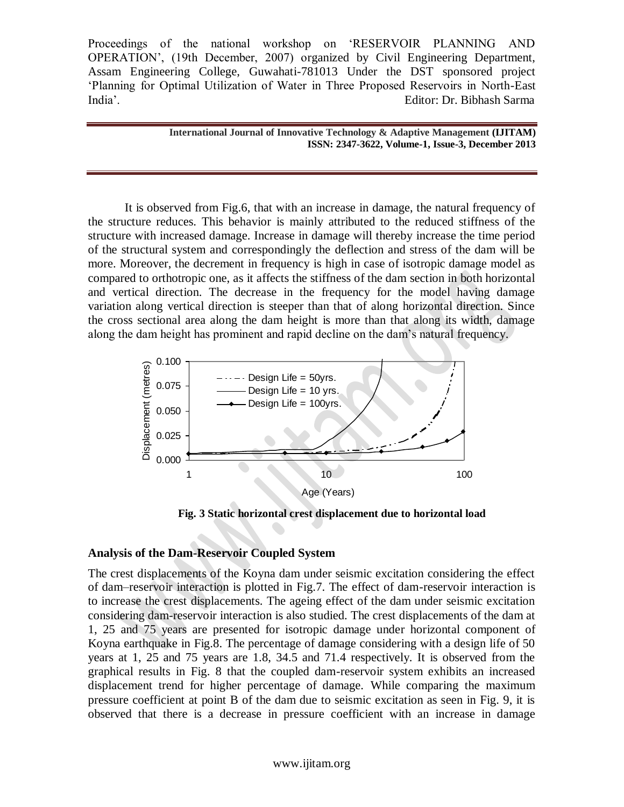> **International Journal of Innovative Technology & Adaptive Management (IJITAM) ISSN: 2347-3622, Volume-1, Issue-3, December 2013**

It is observed from Fig.6, that with an increase in damage, the natural frequency of the structure reduces. This behavior is mainly attributed to the reduced stiffness of the structure with increased damage. Increase in damage will thereby increase the time period of the structural system and correspondingly the deflection and stress of the dam will be more. Moreover, the decrement in frequency is high in case of isotropic damage model as compared to orthotropic one, as it affects the stiffness of the dam section in both horizontal and vertical direction. The decrease in the frequency for the model having damage variation along vertical direction is steeper than that of along horizontal direction. Since the cross sectional area along the dam height is more than that along its width, damage along the dam height has prominent and rapid decline on the dam"s natural frequency.



**Fig. 3 Static horizontal crest displacement due to horizontal load**

### **Analysis of the Dam-Reservoir Coupled System**

The crest displacements of the Koyna dam under seismic excitation considering the effect of dam–reservoir interaction is plotted in Fig.7. The effect of dam-reservoir interaction is to increase the crest displacements. The ageing effect of the dam under seismic excitation considering dam-reservoir interaction is also studied. The crest displacements of the dam at 1, 25 and 75 years are presented for isotropic damage under horizontal component of Koyna earthquake in Fig.8. The percentage of damage considering with a design life of 50 years at 1, 25 and 75 years are 1.8, 34.5 and 71.4 respectively. It is observed from the graphical results in Fig. 8 that the coupled dam-reservoir system exhibits an increased displacement trend for higher percentage of damage. While comparing the maximum pressure coefficient at point B of the dam due to seismic excitation as seen in Fig. 9, it is observed that there is a decrease in pressure coefficient with an increase in damage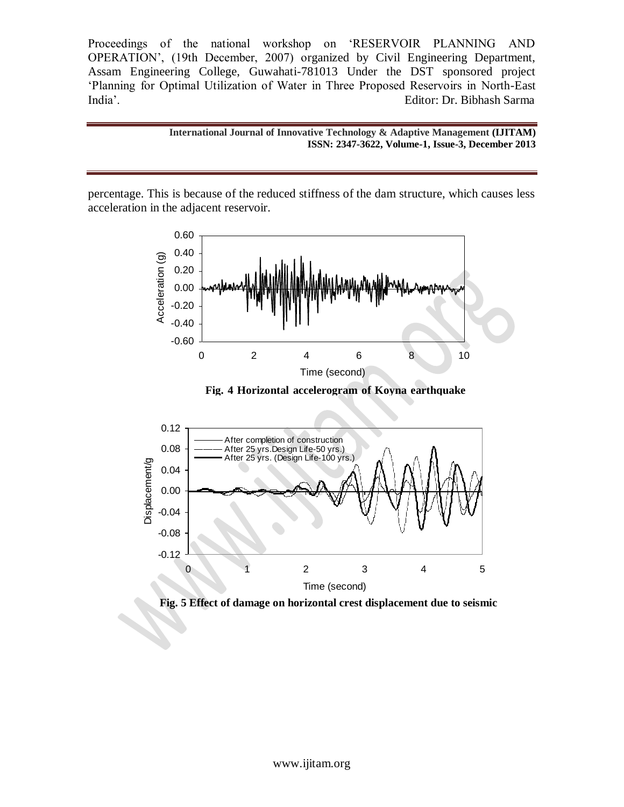> **International Journal of Innovative Technology & Adaptive Management (IJITAM) ISSN: 2347-3622, Volume-1, Issue-3, December 2013**

percentage. This is because of the reduced stiffness of the dam structure, which causes less acceleration in the adjacent reservoir.



**Fig. 4 Horizontal accelerogram of Koyna earthquake** 





**excitations**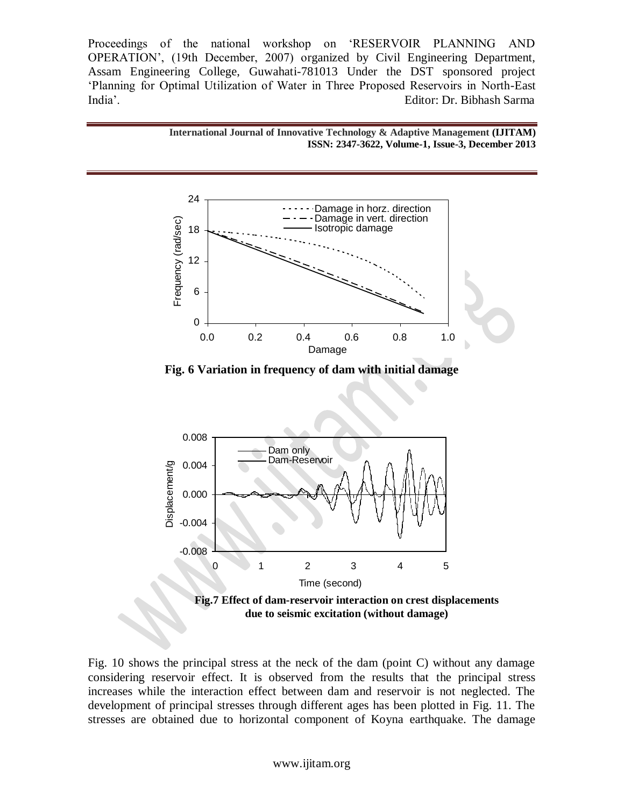



**Fig. 6 Variation in frequency of dam with initial damage**



Fig. 10 shows the principal stress at the neck of the dam (point C) without any damage considering reservoir effect. It is observed from the results that the principal stress increases while the interaction effect between dam and reservoir is not neglected. The development of principal stresses through different ages has been plotted in Fig. 11. The stresses are obtained due to horizontal component of Koyna earthquake. The damage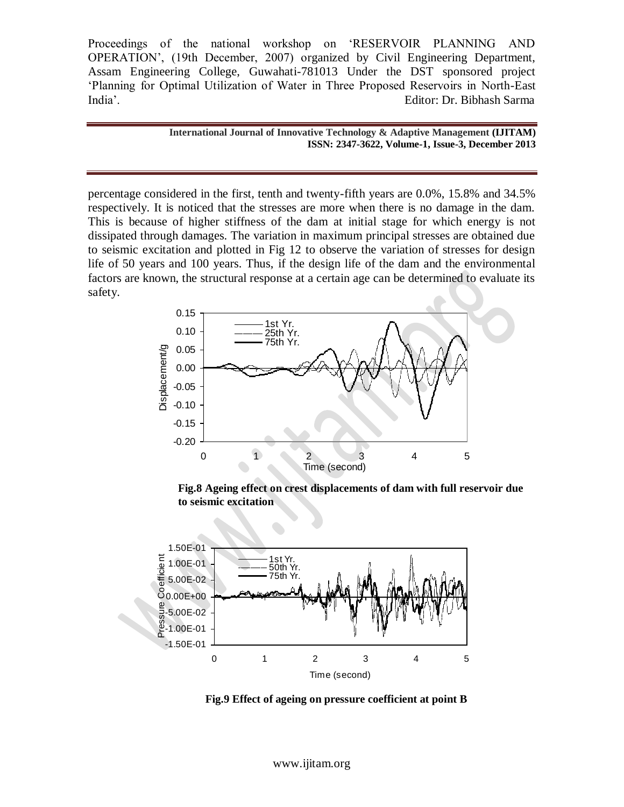> **International Journal of Innovative Technology & Adaptive Management (IJITAM) ISSN: 2347-3622, Volume-1, Issue-3, December 2013**

percentage considered in the first, tenth and twenty-fifth years are 0.0%, 15.8% and 34.5% respectively. It is noticed that the stresses are more when there is no damage in the dam. This is because of higher stiffness of the dam at initial stage for which energy is not dissipated through damages. The variation in maximum principal stresses are obtained due to seismic excitation and plotted in Fig 12 to observe the variation of stresses for design life of 50 years and 100 years. Thus, if the design life of the dam and the environmental factors are known, the structural response at a certain age can be determined to evaluate its safety.



**Fig.8 Ageing effect on crest displacements of dam with full reservoir due to seismic excitation**



**Fig.9 Effect of ageing on pressure coefficient at point B** 

www.ijitam.org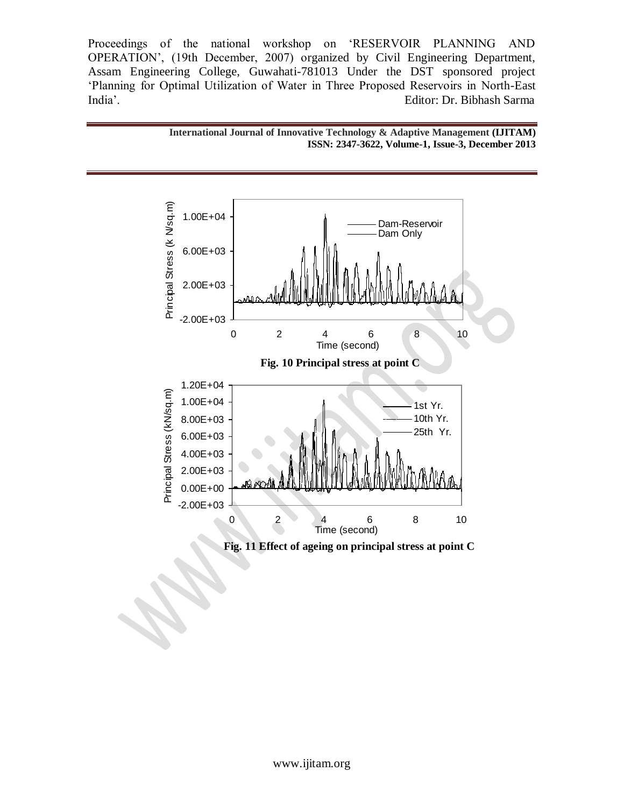



**Fig. 11 Effect of ageing on principal stress at point C**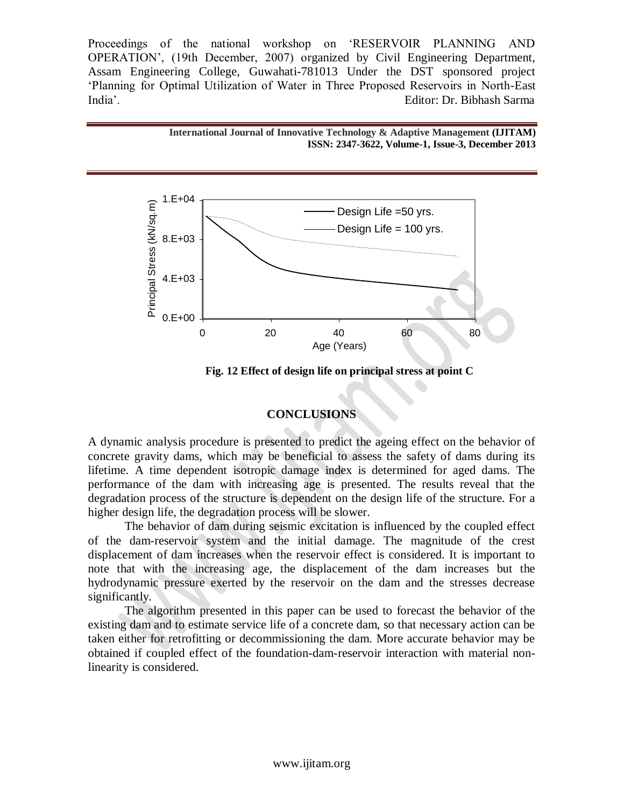



**Fig. 12 Effect of design life on principal stress at point C** 

#### **CONCLUSIONS**

A dynamic analysis procedure is presented to predict the ageing effect on the behavior of concrete gravity dams, which may be beneficial to assess the safety of dams during its lifetime. A time dependent isotropic damage index is determined for aged dams. The performance of the dam with increasing age is presented. The results reveal that the degradation process of the structure is dependent on the design life of the structure. For a higher design life, the degradation process will be slower.

The behavior of dam during seismic excitation is influenced by the coupled effect of the dam-reservoir system and the initial damage. The magnitude of the crest displacement of dam increases when the reservoir effect is considered. It is important to note that with the increasing age, the displacement of the dam increases but the hydrodynamic pressure exerted by the reservoir on the dam and the stresses decrease significantly.

The algorithm presented in this paper can be used to forecast the behavior of the existing dam and to estimate service life of a concrete dam, so that necessary action can be taken either for retrofitting or decommissioning the dam. More accurate behavior may be obtained if coupled effect of the foundation-dam-reservoir interaction with material nonlinearity is considered.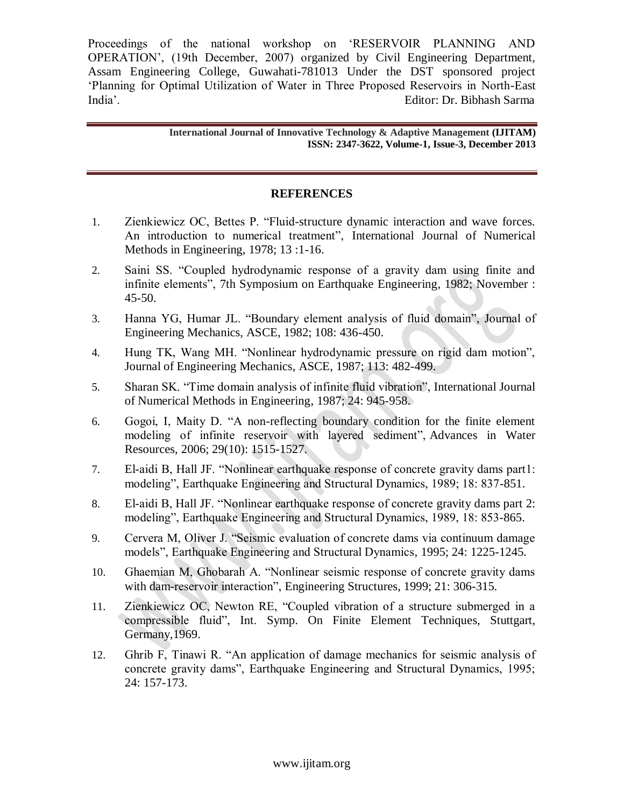> **International Journal of Innovative Technology & Adaptive Management (IJITAM) ISSN: 2347-3622, Volume-1, Issue-3, December 2013**

#### **REFERENCES**

- 1. Zienkiewicz OC, Bettes P. "Fluid-structure dynamic interaction and wave forces. An introduction to numerical treatment", International Journal of Numerical Methods in Engineering, 1978; 13 :1-16.
- 2. Saini SS. "Coupled hydrodynamic response of a gravity dam using finite and infinite elements", 7th Symposium on Earthquake Engineering, 1982; November : 45-50.
- 3. Hanna YG, Humar JL. "Boundary element analysis of fluid domain", Journal of Engineering Mechanics, ASCE, 1982; 108: 436-450.
- 4. Hung TK, Wang MH. "Nonlinear hydrodynamic pressure on rigid dam motion", Journal of Engineering Mechanics, ASCE, 1987; 113: 482-499.
- 5. Sharan SK. "Time domain analysis of infinite fluid vibration", International Journal of Numerical Methods in Engineering*,* 1987; 24: 945-958.
- 6. Gogoi, I, Maity D. "A non-reflecting boundary condition for the finite element modeling of infinite reservoir with layered sediment", Advances in Water Resources, 2006; 29(10): 1515-1527.
- 7. El-aidi B, Hall JF. "Nonlinear earthquake response of concrete gravity dams part1: modeling", Earthquake Engineering and Structural Dynamics, 1989; 18: 837-851.
- 8. El-aidi B, Hall JF. "Nonlinear earthquake response of concrete gravity dams part 2: modeling", Earthquake Engineering and Structural Dynamics, 1989, 18: 853-865.
- 9. Cervera M, Oliver J. "Seismic evaluation of concrete dams via continuum damage models", Earthquake Engineering and Structural Dynamics*,* 1995; 24: 1225-1245.
- 10. Ghaemian M, Ghobarah A. "Nonlinear seismic response of concrete gravity dams with dam-reservoir interaction", Engineering Structures*,* 1999; 21: 306-315.
- 11. Zienkiewicz OC, Newton RE, "Coupled vibration of a structure submerged in a compressible fluid", Int. Symp. On Finite Element Techniques, Stuttgart, Germany,1969.
- 12. Ghrib F, Tinawi R. "An application of damage mechanics for seismic analysis of concrete gravity dams", Earthquake Engineering and Structural Dynamics, 1995; 24: 157-173.